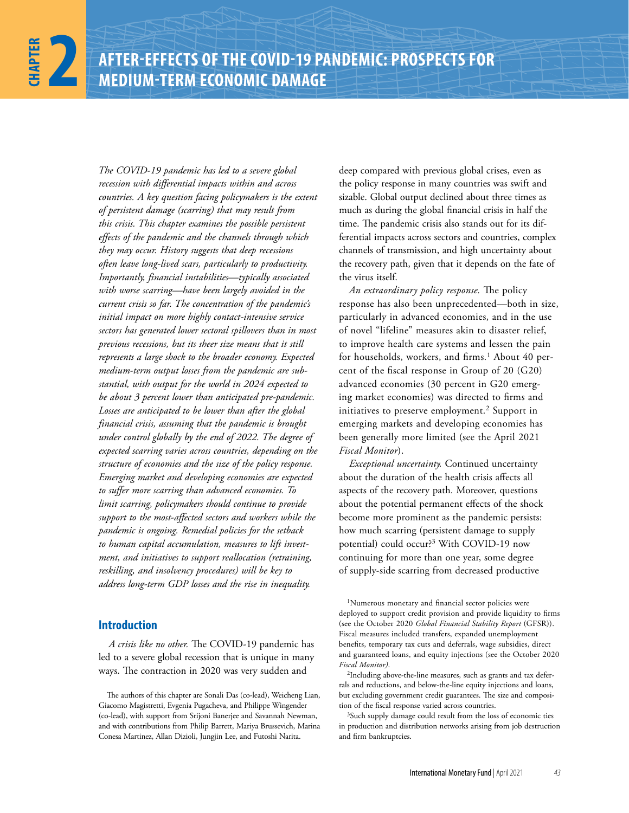*The COVID-19 pandemic has led to a severe global recession with differential impacts within and across countries. A key question facing policymakers is the extent of persistent damage (scarring) that may result from this crisis. This chapter examines the possible persistent effects of the pandemic and the channels through which they may occur. History suggests that deep recessions often leave long-lived scars, particularly to productivity. Importantly, financial instabilities—typically associated with worse scarring—have been largely avoided in the current crisis so far. The concentration of the pandemic's initial impact on more highly contact-intensive service sectors has generated lower sectoral spillovers than in most previous recessions, but its sheer size means that it still represents a large shock to the broader economy. Expected medium-term output losses from the pandemic are substantial, with output for the world in 2024 expected to be about 3 percent lower than anticipated pre-pandemic. Losses are anticipated to be lower than after the global financial crisis, assuming that the pandemic is brought under control globally by the end of 2022. The degree of expected scarring varies across countries, depending on the structure of economies and the size of the policy response. Emerging market and developing economies are expected to suffer more scarring than advanced economies. To limit scarring, policymakers should continue to provide support to the most-affected sectors and workers while the pandemic is ongoing. Remedial policies for the setback to human capital accumulation, measures to lift investment, and initiatives to support reallocation (retraining, reskilling, and insolvency procedures) will be key to address long-term GDP losses and the rise in inequality.*

### **Introduction**

*A crisis like no other.* The COVID-19 pandemic has led to a severe global recession that is unique in many ways. The contraction in 2020 was very sudden and

deep compared with previous global crises, even as the policy response in many countries was swift and sizable. Global output declined about three times as much as during the global financial crisis in half the time. The pandemic crisis also stands out for its differential impacts across sectors and countries, complex channels of transmission, and high uncertainty about the recovery path, given that it depends on the fate of the virus itself.

*An extraordinary policy response.* The policy response has also been unprecedented—both in size, particularly in advanced economies, and in the use of novel "lifeline" measures akin to disaster relief, to improve health care systems and lessen the pain for households, workers, and firms.<sup>1</sup> About 40 percent of the fiscal response in Group of 20 (G20) advanced economies (30 percent in G20 emerging market economies) was directed to firms and initiatives to preserve employment.<sup>2</sup> Support in emerging markets and developing economies has been generally more limited (see the April 2021 *Fiscal Monitor*).

*Exceptional uncertainty.* Continued uncertainty about the duration of the health crisis affects all aspects of the recovery path. Moreover, questions about the potential permanent effects of the shock become more prominent as the pandemic persists: how much scarring (persistent damage to supply potential) could occur?3 With COVID-19 now continuing for more than one year, some degree of supply-side scarring from decreased productive

The authors of this chapter are Sonali Das (co-lead), Weicheng Lian, Giacomo Magistretti, Evgenia Pugacheva, and Philippe Wingender (co-lead), with support from Srijoni Banerjee and Savannah Newman, and with contributions from Philip Barrett, Mariya Brussevich, Marina Conesa Martinez, Allan Dizioli, Jungjin Lee, and Futoshi Narita.

<sup>1</sup>Numerous monetary and financial sector policies were deployed to support credit provision and provide liquidity to firms (see the October 2020 *Global Financial Stability Report* (GFSR)). Fiscal measures included transfers, expanded unemployment benefits, temporary tax cuts and deferrals, wage subsidies, direct and guaranteed loans, and equity injections (see the October 2020 *Fiscal Monitor)*.

<sup>2</sup>Including above-the-line measures, such as grants and tax deferrals and reductions, and below-the-line equity injections and loans, but excluding government credit guarantees. The size and composition of the fiscal response varied across countries.

<sup>&</sup>lt;sup>3</sup>Such supply damage could result from the loss of economic ties in production and distribution networks arising from job destruction and firm bankruptcies.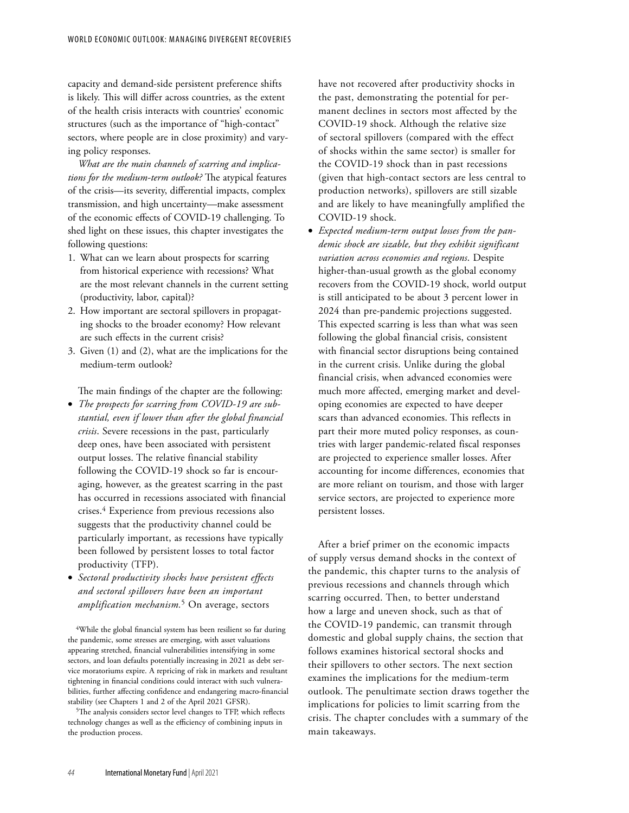capacity and demand-side persistent preference shifts is likely. This will differ across countries, as the extent of the health crisis interacts with countries' economic structures (such as the importance of "high-contact" sectors, where people are in close proximity) and varying policy responses.

*What are the main channels of scarring and implications for the medium-term outlook?* The atypical features of the crisis—its severity, differential impacts, complex transmission, and high uncertainty—make assessment of the economic effects of COVID-19 challenging. To shed light on these issues, this chapter investigates the following questions:

- 1. What can we learn about prospects for scarring from historical experience with recessions? What are the most relevant channels in the current setting (productivity, labor, capital)?
- 2. How important are sectoral spillovers in propagating shocks to the broader economy? How relevant are such effects in the current crisis?
- 3. Given (1) and (2), what are the implications for the medium-term outlook?

The main findings of the chapter are the following:

- *The prospects for scarring from COVID-19 are substantial, even if lower than after the global financial crisis*. Severe recessions in the past, particularly deep ones, have been associated with persistent output losses. The relative financial stability following the COVID-19 shock so far is encouraging, however, as the greatest scarring in the past has occurred in recessions associated with financial crises.4 Experience from previous recessions also suggests that the productivity channel could be particularly important, as recessions have typically been followed by persistent losses to total factor productivity (TFP).
- *Sectoral productivity shocks have persistent effects and sectoral spillovers have been an important amplification mechanism.*5 On average, sectors

4While the global financial system has been resilient so far during the pandemic, some stresses are emerging, with asset valuations appearing stretched, financial vulnerabilities intensifying in some sectors, and loan defaults potentially increasing in 2021 as debt service moratoriums expire. A repricing of risk in markets and resultant tightening in financial conditions could interact with such vulnerabilities, further affecting confidence and endangering macro-financial stability (see Chapters 1 and 2 of the April 2021 GFSR).

5The analysis considers sector level changes to TFP, which reflects technology changes as well as the efficiency of combining inputs in the production process.

have not recovered after productivity shocks in the past, demonstrating the potential for permanent declines in sectors most affected by the COVID-19 shock. Although the relative size of sectoral spillovers (compared with the effect of shocks within the same sector) is smaller for the COVID-19 shock than in past recessions (given that high-contact sectors are less central to production networks), spillovers are still sizable and are likely to have meaningfully amplified the COVID-19 shock.

• *Expected medium-term output losses from the pandemic shock are sizable, but they exhibit significant variation across economies and regions*. Despite higher-than-usual growth as the global economy recovers from the COVID-19 shock, world output is still anticipated to be about 3 percent lower in 2024 than pre-pandemic projections suggested. This expected scarring is less than what was seen following the global financial crisis, consistent with financial sector disruptions being contained in the current crisis. Unlike during the global financial crisis, when advanced economies were much more affected, emerging market and developing economies are expected to have deeper scars than advanced economies. This reflects in part their more muted policy responses, as countries with larger pandemic-related fiscal responses are projected to experience smaller losses. After accounting for income differences, economies that are more reliant on tourism, and those with larger service sectors, are projected to experience more persistent losses.

After a brief primer on the economic impacts of supply versus demand shocks in the context of the pandemic, this chapter turns to the analysis of previous recessions and channels through which scarring occurred. Then, to better understand how a large and uneven shock, such as that of the COVID-19 pandemic, can transmit through domestic and global supply chains, the section that follows examines historical sectoral shocks and their spillovers to other sectors. The next section examines the implications for the medium-term outlook. The penultimate section draws together the implications for policies to limit scarring from the crisis. The chapter concludes with a summary of the main takeaways.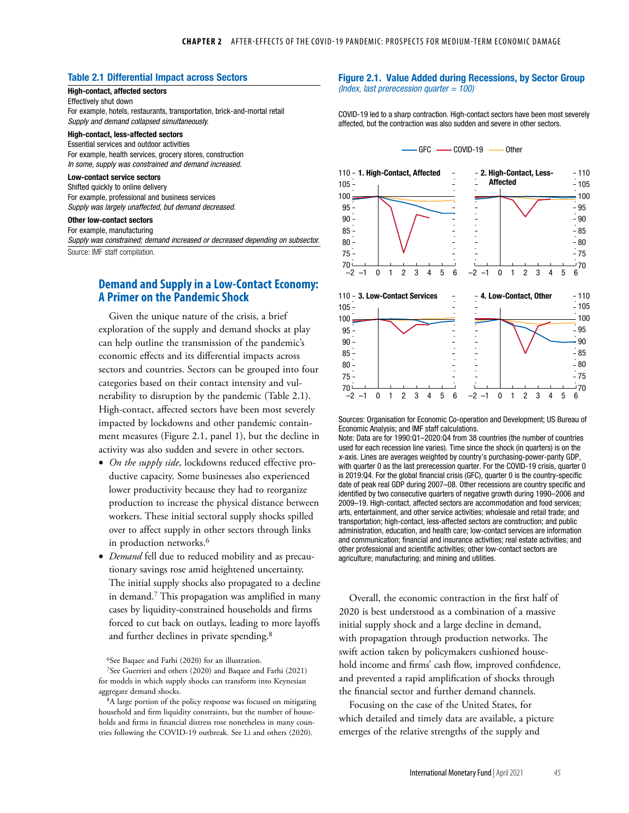### Table 2.1 Differential Impact across Sectors

#### High-contact, affected sectors Effectively shut down

For example, hotels, restaurants, transportation, brick-and-mortal retail *Supply and demand collapsed simultaneously.*

#### High-contact, less-affected sectors

Essential services and outdoor activities For example, health services, grocery stores, construction *In some, supply was constrained and demand increased.*

#### Low-contact service sectors

Shifted quickly to online delivery For example, professional and business services *Supply was largely unaffected, but demand decreased.*

### Other low-contact sectors

For example, manufacturing *Supply was constrained; demand increased or decreased depending on subsector.* Source: IMF staff compilation.

## **Demand and Supply in a Low-Contact Economy: A Primer on the Pandemic Shock**

Given the unique nature of the crisis, a brief exploration of the supply and demand shocks at play can help outline the transmission of the pandemic's economic effects and its differential impacts across sectors and countries. Sectors can be grouped into four categories based on their contact intensity and vulnerability to disruption by the pandemic (Table 2.1). High-contact, affected sectors have been most severely impacted by lockdowns and other pandemic containment measures (Figure 2.1, panel 1), but the decline in activity was also sudden and severe in other sectors.

- *On the supply side*, lockdowns reduced effective productive capacity. Some businesses also experienced lower productivity because they had to reorganize production to increase the physical distance between workers. These initial sectoral supply shocks spilled over to affect supply in other sectors through links in production networks.<sup>6</sup>
- *Demand* fell due to reduced mobility and as precautionary savings rose amid heightened uncertainty. The initial supply shocks also propagated to a decline in demand.7 This propagation was amplified in many cases by liquidity-constrained households and firms forced to cut back on outlays, leading to more layoffs and further declines in private spending.<sup>8</sup>

6See Baqaee and Farhi (2020) for an illustration.

7See Guerrieri and others (2020) and Baqaee and Farhi (2021) for models in which supply shocks can transform into Keynesian aggregate demand shocks.

8A large portion of the policy response was focused on mitigating household and firm liquidity constraints, but the number of households and firms in financial distress rose nonetheless in many countries following the COVID-19 outbreak. See Li and others (2020).

#### Figure 2.1. Value Added during Recessions, by Sector Group *(Index, last prerecession quarter = 100)*

COVID-19 led to a sharp contraction. High-contact sectors have been most severely affected, but the contraction was also sudden and severe in other sectors.





Sources: Organisation for Economic Co-operation and Development; US Bureau of Economic Analysis; and IMF staff calculations.

Note: Data are for 1990:Q1–2020:Q4 from 38 countries (the number of countries used for each recession line varies). Time since the shock (in quarters) is on the *x*-axis. Lines are averages weighted by country's purchasing-power-parity GDP, with quarter 0 as the last prerecession quarter. For the COVID-19 crisis, quarter 0 is 2019:Q4. For the global financial crisis (GFC), quarter 0 is the country-specific date of peak real GDP during 2007–08. Other recessions are country specific and identified by two consecutive quarters of negative growth during 1990–2006 and 2009–19. High-contact, affected sectors are accommodation and food services; arts, entertainment, and other service activities; wholesale and retail trade; and transportation; high-contact, less-affected sectors are construction; and public administration, education, and health care; low-contact services are information and communication; financial and insurance activities; real estate activities; and other professional and scientific activities; other low-contact sectors are agriculture; manufacturing; and mining and utilities.

Overall, the economic contraction in the first half of 2020 is best understood as a combination of a massive initial supply shock and a large decline in demand, with propagation through production networks. The swift action taken by policymakers cushioned household income and firms' cash flow, improved confidence, and prevented a rapid amplification of shocks through the financial sector and further demand channels.

Focusing on the case of the United States, for which detailed and timely data are available, a picture emerges of the relative strengths of the supply and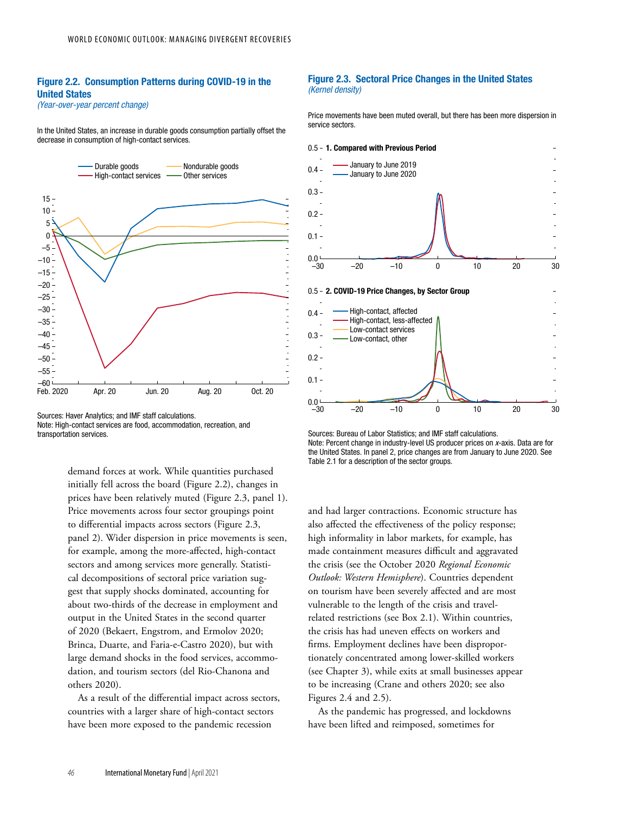## Figure 2.2. Consumption Patterns during COVID-19 in the United States

*(Year-over-year percent change)*

In the United States, an increase in durable goods consumption partially offset the decrease in consumption of high-contact services.



Sources: Haver Analytics; and IMF staff calculations. Note: High-contact services are food, accommodation, recreation, and transportation services.

demand forces at work. While quantities purchased initially fell across the board (Figure 2.2), changes in prices have been relatively muted (Figure 2.3, panel 1). Price movements across four sector groupings point to differential impacts across sectors (Figure 2.3, panel 2). Wider dispersion in price movements is seen, for example, among the more-affected, high-contact sectors and among services more generally. Statistical decompositions of sectoral price variation suggest that supply shocks dominated, accounting for about two-thirds of the decrease in employment and output in the United States in the second quarter of 2020 (Bekaert, Engstrom, and Ermolov 2020; Brinca, Duarte, and Faria-e-Castro 2020), but with large demand shocks in the food services, accommodation, and tourism sectors (del Rio-Chanona and others 2020).

As a result of the differential impact across sectors, countries with a larger share of high-contact sectors have been more exposed to the pandemic recession

#### Figure 2.3. Sectoral Price Changes in the United States *(Kernel density)*

Price movements have been muted overall, but there has been more dispersion in service sectors.



Sources: Bureau of Labor Statistics; and IMF staff calculations. Note: Percent change in industry-level US producer prices on *x*-axis. Data are for the United States. In panel 2, price changes are from January to June 2020. See Table 2.1 for a description of the sector groups.

and had larger contractions. Economic structure has also affected the effectiveness of the policy response; high informality in labor markets, for example, has made containment measures difficult and aggravated the crisis (see the October 2020 *Regional Economic Outlook: Western Hemisphere*). Countries dependent on tourism have been severely affected and are most vulnerable to the length of the crisis and travelrelated restrictions (see Box 2.1). Within countries, the crisis has had uneven effects on workers and firms. Employment declines have been disproportionately concentrated among lower-skilled workers (see Chapter 3), while exits at small businesses appear to be increasing (Crane and others 2020; see also Figures 2.4 and 2.5).

As the pandemic has progressed, and lockdowns have been lifted and reimposed, sometimes for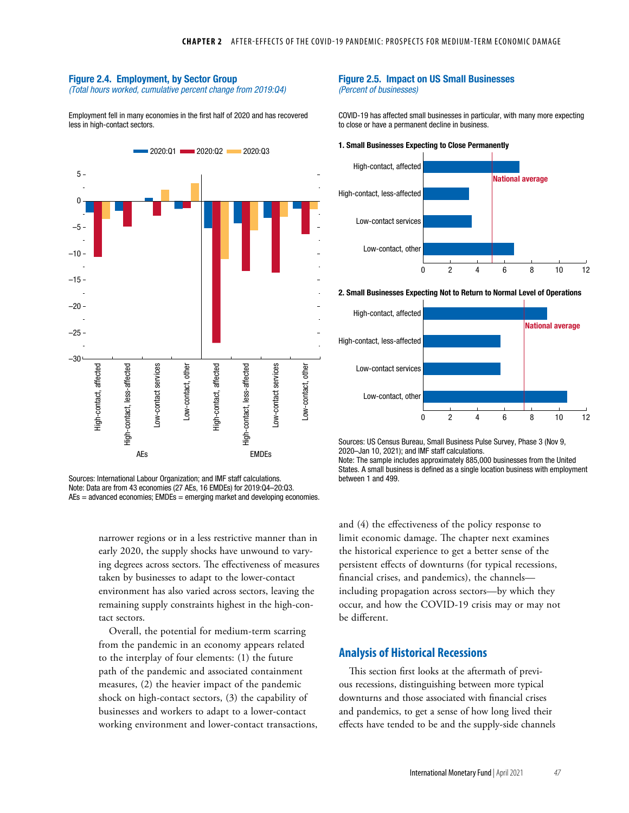#### Figure 2.4. Employment, by Sector Group

*(Total hours worked, cumulative percent change from 2019:Q4)*

Employment fell in many economies in the first half of 2020 and has recovered less in high-contact sectors.



Sources: International Labour Organization; and IMF staff calculations. Note: Data are from 43 economies (27 AEs, 16 EMDEs) for 2019:Q4–20:Q3. AEs = advanced economies; EMDEs = emerging market and developing economies.

> narrower regions or in a less restrictive manner than in early 2020, the supply shocks have unwound to varying degrees across sectors. The effectiveness of measures taken by businesses to adapt to the lower-contact environment has also varied across sectors, leaving the remaining supply constraints highest in the high-contact sectors.

> Overall, the potential for medium-term scarring from the pandemic in an economy appears related to the interplay of four elements: (1) the future path of the pandemic and associated containment measures, (2) the heavier impact of the pandemic shock on high-contact sectors, (3) the capability of businesses and workers to adapt to a lower-contact working environment and lower-contact transactions,

#### Figure 2.5. Impact on US Small Businesses *(Percent of businesses)*

COVID-19 has affected small businesses in particular, with many more expecting to close or have a permanent decline in business.

1. Small Businesses Expecting to Close Permanently



2. Small Businesses Expecting Not to Return to Normal Level of Operations



Sources: US Census Bureau, Small Business Pulse Survey, Phase 3 (Nov 9, 2020–Jan 10, 2021); and IMF staff calculations. Note: The sample includes approximately 885,000 businesses from the United States. A small business is defined as a single location business with employment between 1 and 499.

and (4) the effectiveness of the policy response to limit economic damage. The chapter next examines the historical experience to get a better sense of the persistent effects of downturns (for typical recessions, financial crises, and pandemics), the channels including propagation across sectors—by which they occur, and how the COVID-19 crisis may or may not be different.

### **Analysis of Historical Recessions**

This section first looks at the aftermath of previous recessions, distinguishing between more typical downturns and those associated with financial crises and pandemics, to get a sense of how long lived their effects have tended to be and the supply-side channels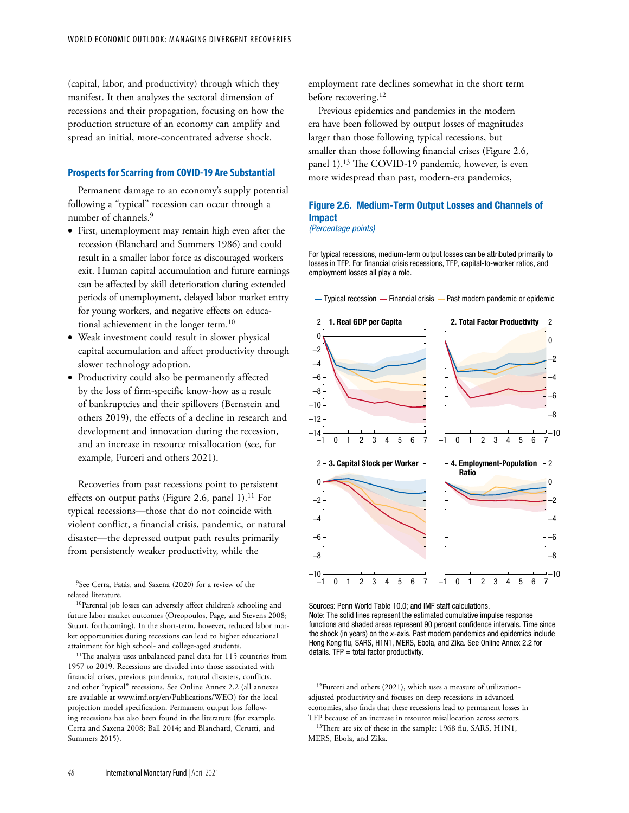(capital, labor, and productivity) through which they manifest. It then analyzes the sectoral dimension of recessions and their propagation, focusing on how the production structure of an economy can amplify and spread an initial, more-concentrated adverse shock.

#### **Prospects for Scarring from COVID-19 Are Substantial**

Permanent damage to an economy's supply potential following a "typical" recession can occur through a number of channels.<sup>9</sup>

- First, unemployment may remain high even after the recession (Blanchard and Summers 1986) and could result in a smaller labor force as discouraged workers exit. Human capital accumulation and future earnings can be affected by skill deterioration during extended periods of unemployment, delayed labor market entry for young workers, and negative effects on educational achievement in the longer term.10
- Weak investment could result in slower physical capital accumulation and affect productivity through slower technology adoption.
- Productivity could also be permanently affected by the loss of firm-specific know-how as a result of bankruptcies and their spillovers (Bernstein and others 2019), the effects of a decline in research and development and innovation during the recession, and an increase in resource misallocation (see, for example, Furceri and others 2021).

Recoveries from past recessions point to persistent effects on output paths (Figure 2.6, panel 1).<sup>11</sup> For typical recessions—those that do not coincide with violent conflict, a financial crisis, pandemic, or natural disaster—the depressed output path results primarily from persistently weaker productivity, while the

9See Cerra, Fatás, and Saxena (2020) for a review of the related literature.

10Parental job losses can adversely affect children's schooling and future labor market outcomes (Oreopoulos, Page, and Stevens 2008; Stuart, forthcoming). In the short-term, however, reduced labor market opportunities during recessions can lead to higher educational attainment for high school- and college-aged students.

11The analysis uses unbalanced panel data for 115 countries from 1957 to 2019. Recessions are divided into those associated with financial crises, previous pandemics, natural disasters, conflicts, and other "typical" recessions. See Online Annex 2.2 (all annexes are available at [www.imf.org/en/Publications/WEO](http://0-www-imf-org.library.svsu.edu/en/Publications/WEO)) for the local projection model specification. Permanent output loss following recessions has also been found in the literature (for example, Cerra and Saxena 2008; Ball 2014; and Blanchard, Cerutti, and Summers 2015).

employment rate declines somewhat in the short term before recovering.<sup>12</sup>

Previous epidemics and pandemics in the modern era have been followed by output losses of magnitudes larger than those following typical recessions, but smaller than those following financial crises (Figure 2.6, panel 1).<sup>13</sup> The COVID-19 pandemic, however, is even more widespread than past, modern-era pandemics,

### Figure 2.6. Medium-Term Output Losses and Channels of Impact *(Percentage points)*

For typical recessions, medium-term output losses can be attributed primarily to losses in TFP. For financial crisis recessions, TFP, capital-to-worker ratios, and employment losses all play a role.



Sources: Penn World Table 10.0; and IMF staff calculations. Note: The solid lines represent the estimated cumulative impulse response functions and shaded areas represent 90 percent confidence intervals. Time since the shock (in years) on the *x*-axis. Past modern pandemics and epidemics include Hong Kong flu, SARS, H1N1, MERS, Ebola, and Zika. See Online Annex 2.2 for details.  $TFP = total factor productivity$ .

12Furceri and others (2021), which uses a measure of utilizationadjusted productivity and focuses on deep recessions in advanced economies, also finds that these recessions lead to permanent losses in TFP because of an increase in resource misallocation across sectors. <sup>13</sup>There are six of these in the sample: 1968 flu, SARS, H1N1,

MERS, Ebola, and Zika.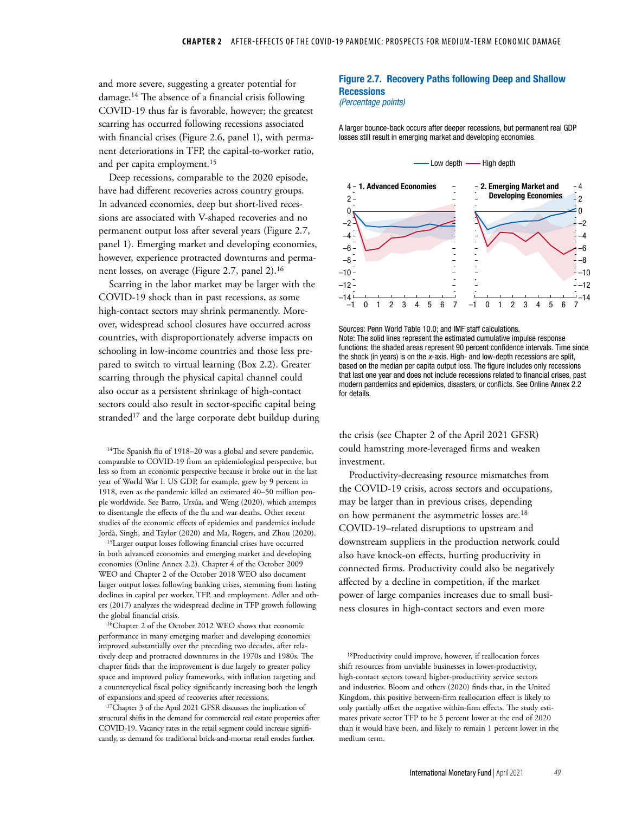and more severe, suggesting a greater potential for damage.14 The absence of a financial crisis following COVID-19 thus far is favorable, however; the greatest scarring has occurred following recessions associated with financial crises (Figure 2.6, panel 1), with permanent deteriorations in TFP, the capital-to-worker ratio, and per capita employment.<sup>15</sup>

Deep recessions, comparable to the 2020 episode, have had different recoveries across country groups. In advanced economies, deep but short-lived recessions are associated with V-shaped recoveries and no permanent output loss after several years (Figure 2.7, panel 1). Emerging market and developing economies, however, experience protracted downturns and permanent losses, on average (Figure 2.7, panel 2).16

Scarring in the labor market may be larger with the COVID-19 shock than in past recessions, as some high-contact sectors may shrink permanently. Moreover, widespread school closures have occurred across countries, with disproportionately adverse impacts on schooling in low-income countries and those less prepared to switch to virtual learning (Box 2.2). Greater scarring through the physical capital channel could also occur as a persistent shrinkage of high-contact sectors could also result in sector-specific capital being stranded<sup>17</sup> and the large corporate debt buildup during

<sup>14</sup>The Spanish flu of 1918–20 was a global and severe pandemic, comparable to COVID-19 from an epidemiological perspective, but less so from an economic perspective because it broke out in the last year of World War I. US GDP, for example, grew by 9 percent in 1918, even as the pandemic killed an estimated 40–50 million people worldwide. See Barro, Ursúa, and Weng (2020), which attempts to disentangle the effects of the flu and war deaths. Other recent studies of the economic effects of epidemics and pandemics include Jordà, Singh, and Taylor (2020) and Ma, Rogers, and Zhou (2020).

15Larger output losses following financial crises have occurred in both advanced economies and emerging market and developing economies (Online Annex 2.2). Chapter 4 of the October 2009 WEO and Chapter 2 of the October 2018 WEO also document larger output losses following banking crises, stemming from lasting declines in capital per worker, TFP, and employment. Adler and others (2017) analyzes the widespread decline in TFP growth following the global financial crisis.

16Chapter 2 of the October 2012 WEO shows that economic performance in many emerging market and developing economies improved substantially over the preceding two decades, after relatively deep and protracted downturns in the 1970s and 1980s. The chapter finds that the improvement is due largely to greater policy space and improved policy frameworks, with inflation targeting and a countercyclical fiscal policy significantly increasing both the length of expansions and speed of recoveries after recessions.

17Chapter 3 of the April 2021 GFSR discusses the implication of structural shifts in the demand for commercial real estate properties after COVID-19. Vacancy rates in the retail segment could increase significantly, as demand for traditional brick-and-mortar retail erodes further.

### Figure 2.7. Recovery Paths following Deep and Shallow **Recessions**

#### *(Percentage points)*

A larger bounce-back occurs after deeper recessions, but permanent real GDP losses still result in emerging market and developing economies.



Sources: Penn World Table 10.0; and IMF staff calculations. Note: The solid lines represent the estimated cumulative impulse response functions; the shaded areas represent 90 percent confidence intervals. Time since the shock (in years) is on the *x*-axis. High- and low-depth recessions are split, based on the median per capita output loss. The figure includes only recessions that last one year and does not include recessions related to financial crises, past modern pandemics and epidemics, disasters, or conflicts. See Online Annex 2.2 for details.

the crisis (see Chapter 2 of the April 2021 GFSR) could hamstring more-leveraged firms and weaken investment.

Productivity-decreasing resource mismatches from the COVID-19 crisis, across sectors and occupations, may be larger than in previous crises, depending on how permanent the asymmetric losses are.18 COVID-19-related disruptions to upstream and downstream suppliers in the production network could also have knock-on effects, hurting productivity in connected firms. Productivity could also be negatively affected by a decline in competition, if the market power of large companies increases due to small business closures in high-contact sectors and even more

18Productivity could improve, however, if reallocation forces shift resources from unviable businesses in lower-productivity, high-contact sectors toward higher-productivity service sectors and industries. Bloom and others (2020) finds that, in the United Kingdom, this positive between-firm reallocation effect is likely to only partially offset the negative within-firm effects. The study estimates private sector TFP to be 5 percent lower at the end of 2020 than it would have been, and likely to remain 1 percent lower in the medium term.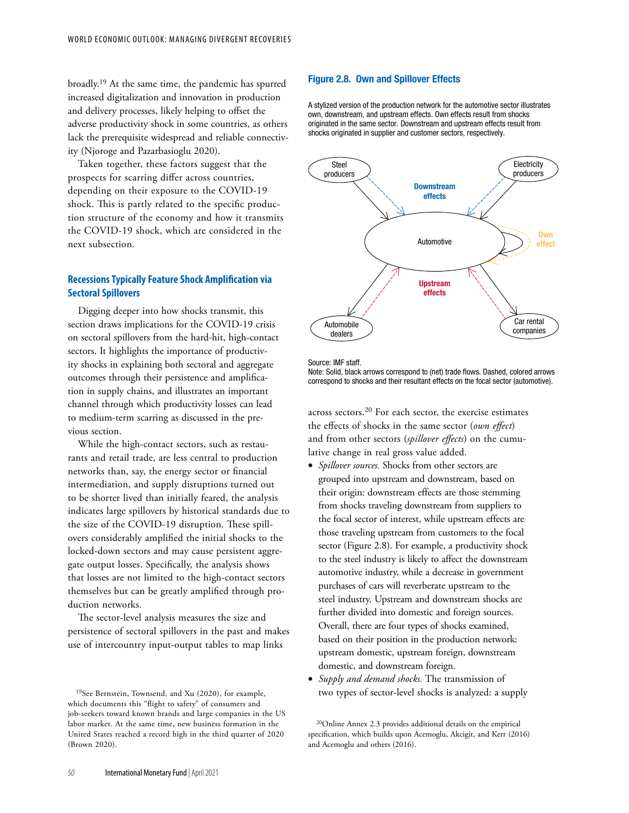broadly.19 At the same time, the pandemic has spurred increased digitalization and innovation in production and delivery processes, likely helping to offset the adverse productivity shock in some countries, as others lack the prerequisite widespread and reliable connectivity (Njoroge and Pazarbasioglu 2020).

Taken together, these factors suggest that the prospects for scarring differ across countries, depending on their exposure to the COVID-19 shock. This is partly related to the specific production structure of the economy and how it transmits the COVID-19 shock, which are considered in the next subsection.

### **Recessions Typically Feature Shock Amplification via Sectoral Spillovers**

Digging deeper into how shocks transmit, this section draws implications for the COVID-19 crisis on sectoral spillovers from the hard-hit, high-contact sectors. It highlights the importance of productivity shocks in explaining both sectoral and aggregate outcomes through their persistence and amplification in supply chains, and illustrates an important channel through which productivity losses can lead to medium-term scarring as discussed in the previous section.

While the high-contact sectors, such as restaurants and retail trade, are less central to production networks than, say, the energy sector or financial intermediation, and supply disruptions turned out to be shorter lived than initially feared, the analysis indicates large spillovers by historical standards due to the size of the COVID-19 disruption. These spillovers considerably amplified the initial shocks to the locked-down sectors and may cause persistent aggregate output losses. Specifically, the analysis shows that losses are not limited to the high-contact sectors themselves but can be greatly amplified through production networks.

The sector-level analysis measures the size and persistence of sectoral spillovers in the past and makes use of intercountry input-output tables to map links

### Figure 2.8. Own and Spillover Effects

A stylized version of the production network for the automotive sector illustrates own, downstream, and upstream effects. Own effects result from shocks originated in the same sector. Downstream and upstream effects result from shocks originated in supplier and customer sectors, respectively.



Source: IMF staff.

Note: Solid, black arrows correspond to (net) trade flows. Dashed, colored arrows correspond to shocks and their resultant effects on the focal sector (automotive).

across sectors.20 For each sector, the exercise estimates the effects of shocks in the same sector (*own effect*) and from other sectors (*spillover effects*) on the cumulative change in real gross value added.

- *Spillover sources.* Shocks from other sectors are grouped into upstream and downstream, based on their origin: downstream effects are those stemming from shocks traveling downstream from suppliers to the focal sector of interest, while upstream effects are those traveling upstream from customers to the focal sector (Figure 2.8). For example, a productivity shock to the steel industry is likely to affect the downstream automotive industry, while a decrease in government purchases of cars will reverberate upstream to the steel industry. Upstream and downstream shocks are further divided into domestic and foreign sources. Overall, there are four types of shocks examined, based on their position in the production network: upstream domestic, upstream foreign, downstream domestic, and downstream foreign.
- *Supply and demand shocks.* The transmission of two types of sector-level shocks is analyzed: a supply

20Online Annex 2.3 provides additional details on the empirical specification, which builds upon Acemoglu, Akcigit, and Kerr (2016) and Acemoglu and others (2016).

<sup>19</sup>See Bernstein, Townsend, and Xu (2020), for example, which documents this "flight to safety" of consumers and job-seekers toward known brands and large companies in the US labor market. At the same time, new business formation in the United States reached a record high in the third quarter of 2020 (Brown 2020).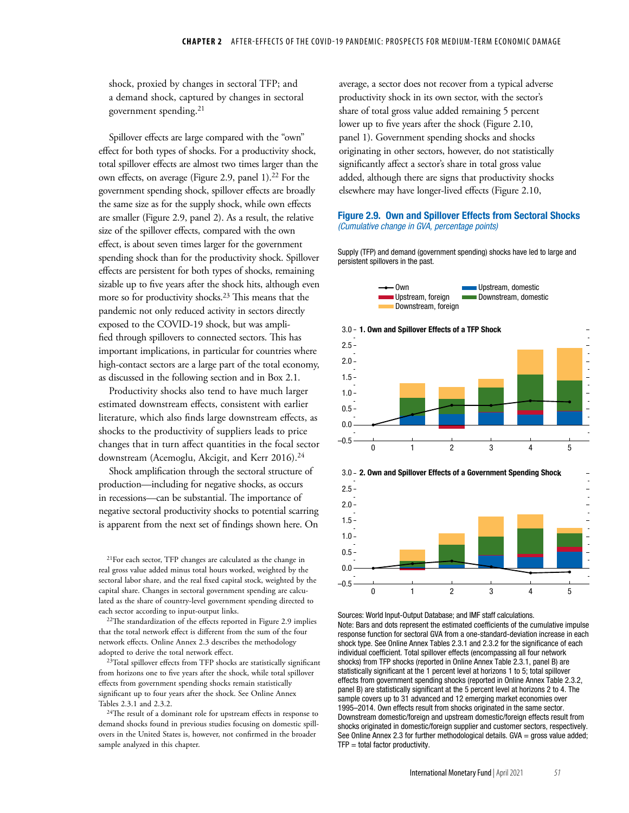shock, proxied by changes in sectoral TFP; and a demand shock, captured by changes in sectoral government spending.21

Spillover effects are large compared with the "own" effect for both types of shocks. For a productivity shock, total spillover effects are almost two times larger than the own effects, on average (Figure 2.9, panel 1).<sup>22</sup> For the government spending shock, spillover effects are broadly the same size as for the supply shock, while own effects are smaller (Figure 2.9, panel 2). As a result, the relative size of the spillover effects, compared with the own effect, is about seven times larger for the government spending shock than for the productivity shock. Spillover effects are persistent for both types of shocks, remaining sizable up to five years after the shock hits, although even more so for productivity shocks.<sup>23</sup> This means that the pandemic not only reduced activity in sectors directly exposed to the COVID-19 shock, but was amplified through spillovers to connected sectors. This has important implications, in particular for countries where high-contact sectors are a large part of the total economy, as discussed in the following section and in Box 2.1.

Productivity shocks also tend to have much larger estimated downstream effects, consistent with earlier literature, which also finds large downstream effects, as shocks to the productivity of suppliers leads to price changes that in turn affect quantities in the focal sector downstream (Acemoglu, Akcigit, and Kerr 2016).<sup>24</sup>

Shock amplification through the sectoral structure of production—including for negative shocks, as occurs in recessions—can be substantial. The importance of negative sectoral productivity shocks to potential scarring is apparent from the next set of findings shown here. On

21For each sector, TFP changes are calculated as the change in real gross value added minus total hours worked, weighted by the sectoral labor share, and the real fixed capital stock, weighted by the capital share. Changes in sectoral government spending are calculated as the share of country-level government spending directed to each sector according to input-output links.

22The standardization of the effects reported in Figure 2.9 implies that the total network effect is different from the sum of the four network effects. Online Annex 2.3 describes the methodology adopted to derive the total network effect.

<sup>23</sup>Total spillover effects from TFP shocks are statistically significant from horizons one to five years after the shock, while total spillover effects from government spending shocks remain statistically significant up to four years after the shock. See Online Annex Tables 2.3.1 and 2.3.2.

<sup>24</sup>The result of a dominant role for upstream effects in response to demand shocks found in previous studies focusing on domestic spillovers in the United States is, however, not confirmed in the broader sample analyzed in this chapter.

average, a sector does not recover from a typical adverse productivity shock in its own sector, with the sector's share of total gross value added remaining 5 percent lower up to five years after the shock (Figure 2.10, panel 1). Government spending shocks and shocks originating in other sectors, however, do not statistically significantly affect a sector's share in total gross value added, although there are signs that productivity shocks elsewhere may have longer-lived effects (Figure 2.10,

#### Figure 2.9. Own and Spillover Effects from Sectoral Shocks *(Cumulative change in GVA, percentage points)*

Supply (TFP) and demand (government spending) shocks have led to large and persistent spillovers in the past.







Sources: World Input-Output Database; and IMF staff calculations. Note: Bars and dots represent the estimated coefficients of the cumulative impulse response function for sectoral GVA from a one-standard-deviation increase in each shock type. See Online Annex Tables 2.3.1 and 2.3.2 for the significance of each individual coefficient. Total spillover effects (encompassing all four network shocks) from TFP shocks (reported in Online Annex Table 2.3.1, panel B) are statistically significant at the 1 percent level at horizons 1 to 5; total spillover effects from government spending shocks (reported in Online Annex Table 2.3.2, panel B) are statistically significant at the 5 percent level at horizons 2 to 4. The sample covers up to 31 advanced and 12 emerging market economies over 1995–2014. Own effects result from shocks originated in the same sector. Downstream domestic/foreign and upstream domestic/foreign effects result from shocks originated in domestic/foreign supplier and customer sectors, respectively. See Online Annex 2.3 for further methodological details.  $GVA =$  gross value added;  $TFP = total factor productivity.$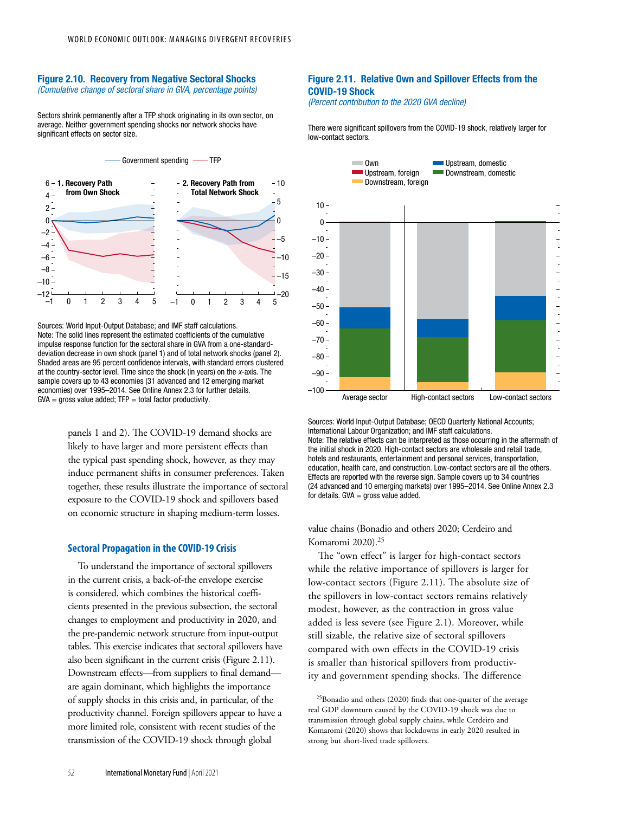#### Figure 2.10. Recovery from Negative Sectoral Shocks *(Cumulative change of sectoral share in GVA, percentage points)*

Sectors shrink permanently after a TFP shock originating in its own sector, on average. Neither government spending shocks nor network shocks have significant effects on sector size.



Sources: World Input-Output Database; and IMF staff calculations. Note: The solid lines represent the estimated coefficients of the cumulative impulse response function for the sectoral share in GVA from a one-standarddeviation decrease in own shock (panel 1) and of total network shocks (panel 2). Shaded areas are 95 percent confidence intervals, with standard errors clustered at the country-sector level. Time since the shock (in years) on the *x*-axis. The sample covers up to 43 economies (31 advanced and 12 emerging market economies) over 1995–2014. See Online Annex 2.3 for further details.  $GVA =$  gross value added;  $TFP =$  total factor productivity.

> panels 1 and 2). The COVID-19 demand shocks are likely to have larger and more persistent effects than the typical past spending shock, however, as they may induce permanent shifts in consumer preferences. Taken together, these results illustrate the importance of sectoral exposure to the COVID-19 shock and spillovers based on economic structure in shaping medium-term losses.

#### **Sectoral Propagation in the COVID-19 Crisis**

To understand the importance of sectoral spillovers in the current crisis, a back-of-the envelope exercise is considered, which combines the historical coefficients presented in the previous subsection, the sectoral changes to employment and productivity in 2020, and the pre-pandemic network structure from input-output tables. This exercise indicates that sectoral spillovers have also been significant in the current crisis (Figure 2.11). Downstream effects—from suppliers to final demand are again dominant, which highlights the importance of supply shocks in this crisis and, in particular, of the productivity channel. Foreign spillovers appear to have a more limited role, consistent with recent studies of the transmission of the COVID-19 shock through global

### Figure 2.11. Relative Own and Spillover Effects from the COVID-19 Shock

*(Percent contribution to the 2020 GVA decline)*

There were significant spillovers from the COVID-19 shock, relatively larger for low-contact sectors.



Sources: World Input-Output Database; OECD Quarterly National Accounts; International Labour Organization; and IMF staff calculations. Note: The relative effects can be interpreted as those occurring in the aftermath of the initial shock in 2020. High-contact sectors are wholesale and retail trade, hotels and restaurants, entertainment and personal services, transportation, education, health care, and construction. Low-contact sectors are all the others. Effects are reported with the reverse sign. Sample covers up to 34 countries (24 advanced and 10 emerging markets) over 1995–2014. See Online Annex 2.3 for details.  $GVA =$  gross value added.

value chains (Bonadio and others 2020; Cerdeiro and Komaromi 2020).25

The "own effect" is larger for high-contact sectors while the relative importance of spillovers is larger for low-contact sectors (Figure 2.11). The absolute size of the spillovers in low-contact sectors remains relatively modest, however, as the contraction in gross value added is less severe (see Figure 2.1). Moreover, while still sizable, the relative size of sectoral spillovers compared with own effects in the COVID-19 crisis is smaller than historical spillovers from productivity and government spending shocks. The difference

25Bonadio and others (2020) finds that one-quarter of the average real GDP downturn caused by the COVID-19 shock was due to transmission through global supply chains, while Cerdeiro and Komaromi (2020) shows that lockdowns in early 2020 resulted in strong but short-lived trade spillovers.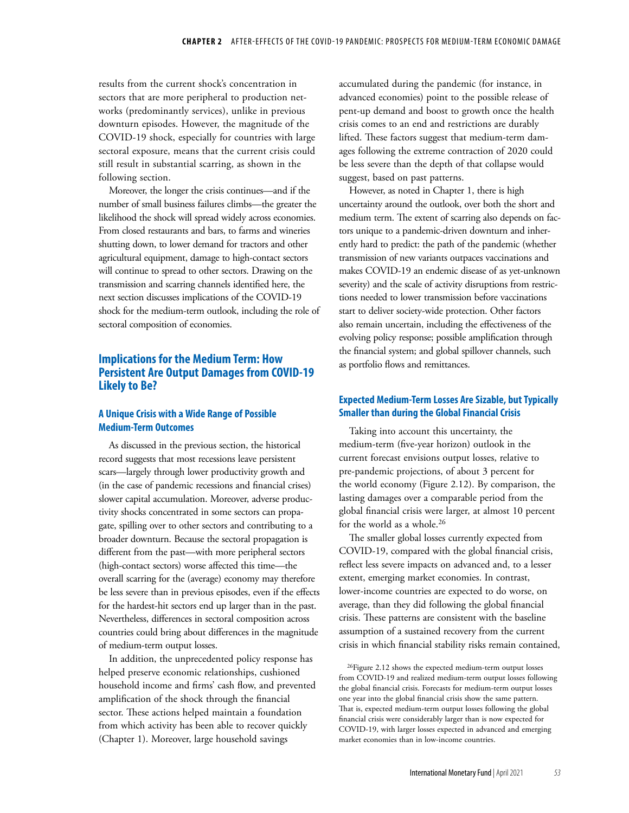results from the current shock's concentration in sectors that are more peripheral to production networks (predominantly services), unlike in previous downturn episodes. However, the magnitude of the COVID-19 shock, especially for countries with large sectoral exposure, means that the current crisis could still result in substantial scarring, as shown in the following section.

Moreover, the longer the crisis continues—and if the number of small business failures climbs—the greater the likelihood the shock will spread widely across economies. From closed restaurants and bars, to farms and wineries shutting down, to lower demand for tractors and other agricultural equipment, damage to high-contact sectors will continue to spread to other sectors. Drawing on the transmission and scarring channels identified here, the next section discusses implications of the COVID-19 shock for the medium-term outlook, including the role of sectoral composition of economies.

# **Implications for the Medium Term: How Persistent Are Output Damages from COVID-19 Likely to Be?**

### **A Unique Crisis with a Wide Range of Possible Medium-Term Outcomes**

As discussed in the previous section, the historical record suggests that most recessions leave persistent scars—largely through lower productivity growth and (in the case of pandemic recessions and financial crises) slower capital accumulation. Moreover, adverse productivity shocks concentrated in some sectors can propagate, spilling over to other sectors and contributing to a broader downturn. Because the sectoral propagation is different from the past—with more peripheral sectors (high-contact sectors) worse affected this time—the overall scarring for the (average) economy may therefore be less severe than in previous episodes, even if the effects for the hardest-hit sectors end up larger than in the past. Nevertheless, differences in sectoral composition across countries could bring about differences in the magnitude of medium-term output losses.

In addition, the unprecedented policy response has helped preserve economic relationships, cushioned household income and firms' cash flow, and prevented amplification of the shock through the financial sector. These actions helped maintain a foundation from which activity has been able to recover quickly (Chapter 1). Moreover, large household savings

accumulated during the pandemic (for instance, in advanced economies) point to the possible release of pent-up demand and boost to growth once the health crisis comes to an end and restrictions are durably lifted. These factors suggest that medium-term damages following the extreme contraction of 2020 could be less severe than the depth of that collapse would suggest, based on past patterns.

However, as noted in Chapter 1, there is high uncertainty around the outlook, over both the short and medium term. The extent of scarring also depends on factors unique to a pandemic-driven downturn and inherently hard to predict: the path of the pandemic (whether transmission of new variants outpaces vaccinations and makes COVID-19 an endemic disease of as yet-unknown severity) and the scale of activity disruptions from restrictions needed to lower transmission before vaccinations start to deliver society-wide protection. Other factors also remain uncertain, including the effectiveness of the evolving policy response; possible amplification through the financial system; and global spillover channels, such as portfolio flows and remittances.

### **Expected Medium-Term Losses Are Sizable, but Typically Smaller than during the Global Financial Crisis**

Taking into account this uncertainty, the medium-term (five-year horizon) outlook in the current forecast envisions output losses, relative to pre-pandemic projections, of about 3 percent for the world economy (Figure 2.12). By comparison, the lasting damages over a comparable period from the global financial crisis were larger, at almost 10 percent for the world as a whole.<sup>26</sup>

The smaller global losses currently expected from COVID-19, compared with the global financial crisis, reflect less severe impacts on advanced and, to a lesser extent, emerging market economies. In contrast, lower-income countries are expected to do worse, on average, than they did following the global financial crisis. These patterns are consistent with the baseline assumption of a sustained recovery from the current crisis in which financial stability risks remain contained,

26Figure 2.12 shows the expected medium-term output losses from COVID-19 and realized medium-term output losses following the global financial crisis. Forecasts for medium-term output losses one year into the global financial crisis show the same pattern. That is, expected medium-term output losses following the global financial crisis were considerably larger than is now expected for COVID-19, with larger losses expected in advanced and emerging market economies than in low-income countries.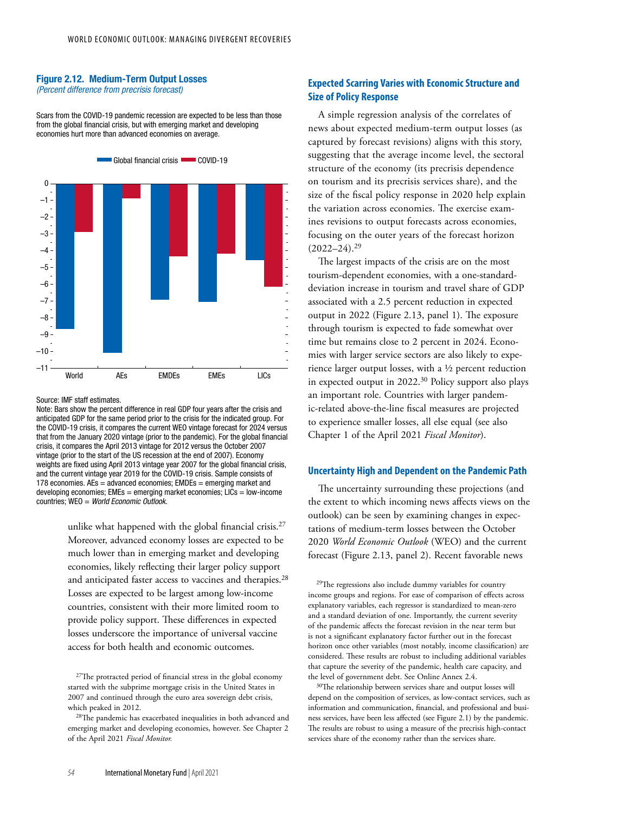#### Figure 2.12. Medium-Term Output Losses *(Percent difference from precrisis forecast)*

Scars from the COVID-19 pandemic recession are expected to be less than those from the global financial crisis, but with emerging market and developing economies hurt more than advanced economies on average.



#### Source: IMF staff estimates.

Note: Bars show the percent difference in real GDP four years after the crisis and anticipated GDP for the same period prior to the crisis for the indicated group. For the COVID-19 crisis, it compares the current WEO vintage forecast for 2024 versus that from the January 2020 vintage (prior to the pandemic). For the global financial crisis, it compares the April 2013 vintage for 2012 versus the October 2007 vintage (prior to the start of the US recession at the end of 2007). Economy weights are fixed using April 2013 vintage year 2007 for the global financial crisis, and the current vintage year 2019 for the COVID-19 crisis. Sample consists of 178 economies.  $AEs =$  advanced economies:  $EMDEs =$  emerging market and developing economies; EMEs = emerging market economies; LICs = low-income countries; WEO = *World Economic Outlook.*

> unlike what happened with the global financial crisis.<sup>27</sup> Moreover, advanced economy losses are expected to be much lower than in emerging market and developing economies, likely reflecting their larger policy support and anticipated faster access to vaccines and therapies.28 Losses are expected to be largest among low-income countries, consistent with their more limited room to provide policy support. These differences in expected losses underscore the importance of universal vaccine access for both health and economic outcomes.

27The protracted period of financial stress in the global economy started with the subprime mortgage crisis in the United States in 2007 and continued through the euro area sovereign debt crisis, which peaked in 2012.

28The pandemic has exacerbated inequalities in both advanced and emerging market and developing economies, however. See Chapter 2 of the April 2021 *Fiscal Monitor.*

## **Expected Scarring Varies with Economic Structure and Size of Policy Response**

A simple regression analysis of the correlates of news about expected medium-term output losses (as captured by forecast revisions) aligns with this story, suggesting that the average income level, the sectoral structure of the economy (its precrisis dependence on tourism and its precrisis services share), and the size of the fiscal policy response in 2020 help explain the variation across economies. The exercise examines revisions to output forecasts across economies, focusing on the outer years of the forecast horizon  $(2022 - 24).^{29}$ 

The largest impacts of the crisis are on the most tourism-dependent economies, with a one-standarddeviation increase in tourism and travel share of GDP associated with a 2.5 percent reduction in expected output in 2022 (Figure 2.13, panel 1). The exposure through tourism is expected to fade somewhat over time but remains close to 2 percent in 2024. Economies with larger service sectors are also likely to experience larger output losses, with a ½ percent reduction in expected output in 2022.30 Policy support also plays an important role. Countries with larger pandemic-related above-the-line fiscal measures are projected to experience smaller losses, all else equal (see also Chapter 1 of the April 2021 *Fiscal Monitor*).

#### **Uncertainty High and Dependent on the Pandemic Path**

The uncertainty surrounding these projections (and the extent to which incoming news affects views on the outlook) can be seen by examining changes in expectations of medium-term losses between the October 2020 *World Economic Outlook* (WEO) and the current forecast (Figure 2.13, panel 2). Recent favorable news

29The regressions also include dummy variables for country income groups and regions. For ease of comparison of effects across explanatory variables, each regressor is standardized to mean-zero and a standard deviation of one. Importantly, the current severity of the pandemic affects the forecast revision in the near term but is not a significant explanatory factor further out in the forecast horizon once other variables (most notably, income classification) are considered. These results are robust to including additional variables that capture the severity of the pandemic, health care capacity, and the level of government debt. See Online Annex 2.4.

30The relationship between services share and output losses will depend on the composition of services, as low-contact services, such as information and communication, financial, and professional and business services, have been less affected (see Figure 2.1) by the pandemic. The results are robust to using a measure of the precrisis high-contact services share of the economy rather than the services share.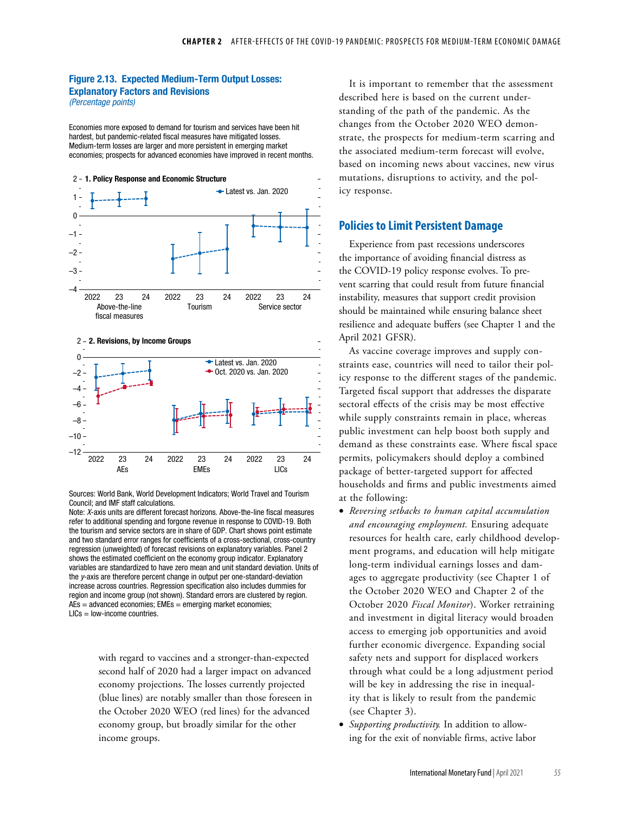# Figure 2.13. Expected Medium-Term Output Losses: Explanatory Factors and Revisions

*(Percentage points)*

Economies more exposed to demand for tourism and services have been hit hardest, but pandemic-related fiscal measures have mitigated losses. Medium-term losses are larger and more persistent in emerging market economies; prospects for advanced economies have improved in recent months.





Sources: World Bank, World Development Indicators; World Travel and Tourism Council; and IMF staff calculations.

Note: *X*-axis units are different forecast horizons. Above-the-line fiscal measures refer to additional spending and forgone revenue in response to COVID-19. Both the tourism and service sectors are in share of GDP. Chart shows point estimate and two standard error ranges for coefficients of a cross-sectional, cross-country regression (unweighted) of forecast revisions on explanatory variables. Panel 2 shows the estimated coefficient on the economy group indicator. Explanatory variables are standardized to have zero mean and unit standard deviation. Units of the *y*-axis are therefore percent change in output per one-standard-deviation increase across countries. Regression specification also includes dummies for region and income group (not shown). Standard errors are clustered by region.  $AEs = advanced$  economies;  $EMEs = emerging$  market economies; LICs = low-income countries.

with regard to vaccines and a stronger-than-expected second half of 2020 had a larger impact on advanced economy projections. The losses currently projected (blue lines) are notably smaller than those foreseen in the October 2020 WEO (red lines) for the advanced economy group, but broadly similar for the other income groups.

It is important to remember that the assessment described here is based on the current understanding of the path of the pandemic. As the changes from the October 2020 WEO demonstrate, the prospects for medium-term scarring and the associated medium-term forecast will evolve, based on incoming news about vaccines, new virus mutations, disruptions to activity, and the policy response.

### **Policies to Limit Persistent Damage**

Experience from past recessions underscores the importance of avoiding financial distress as the COVID-19 policy response evolves. To prevent scarring that could result from future financial instability, measures that support credit provision should be maintained while ensuring balance sheet resilience and adequate buffers (see Chapter 1 and the April 2021 GFSR).

As vaccine coverage improves and supply constraints ease, countries will need to tailor their policy response to the different stages of the pandemic. Targeted fiscal support that addresses the disparate sectoral effects of the crisis may be most effective while supply constraints remain in place, whereas public investment can help boost both supply and demand as these constraints ease. Where fiscal space permits, policymakers should deploy a combined package of better-targeted support for affected households and firms and public investments aimed at the following:

- *Reversing setbacks to human capital accumulation and encouraging employment.* Ensuring adequate resources for health care, early childhood development programs, and education will help mitigate long-term individual earnings losses and damages to aggregate productivity (see Chapter 1 of the October 2020 WEO and Chapter 2 of the October 2020 *Fiscal Monitor*). Worker retraining and investment in digital literacy would broaden access to emerging job opportunities and avoid further economic divergence. Expanding social safety nets and support for displaced workers through what could be a long adjustment period will be key in addressing the rise in inequality that is likely to result from the pandemic (see Chapter 3).
- *Supporting productivity.* In addition to allowing for the exit of nonviable firms, active labor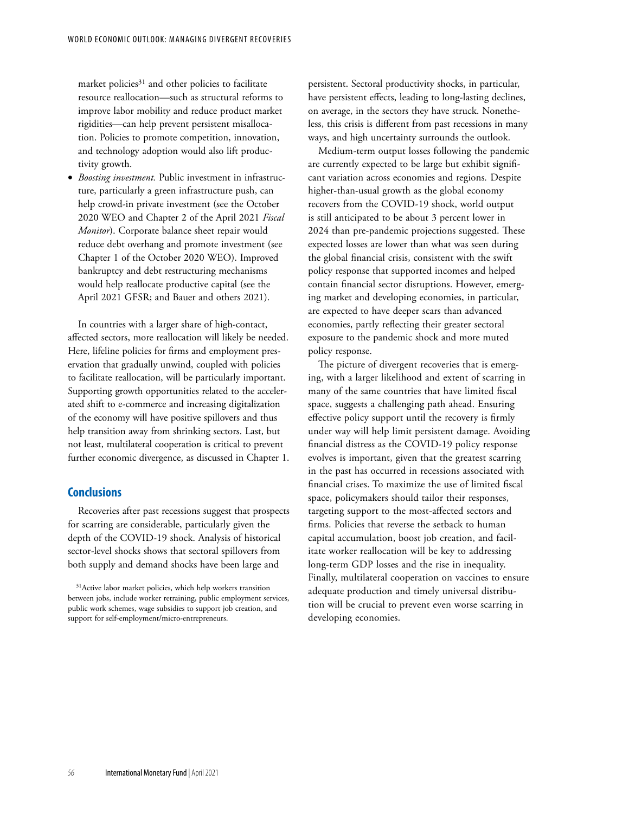market policies $31$  and other policies to facilitate resource reallocation—such as structural reforms to improve labor mobility and reduce product market rigidities—can help prevent persistent misallocation. Policies to promote competition, innovation, and technology adoption would also lift productivity growth.

• *Boosting investment.* Public investment in infrastructure, particularly a green infrastructure push, can help crowd-in private investment (see the October 2020 WEO and Chapter 2 of the April 2021 *Fiscal Monitor*). Corporate balance sheet repair would reduce debt overhang and promote investment (see Chapter 1 of the October 2020 WEO). Improved bankruptcy and debt restructuring mechanisms would help reallocate productive capital (see the April 2021 GFSR; and Bauer and others 2021).

In countries with a larger share of high-contact, affected sectors, more reallocation will likely be needed. Here, lifeline policies for firms and employment preservation that gradually unwind, coupled with policies to facilitate reallocation, will be particularly important. Supporting growth opportunities related to the accelerated shift to e-commerce and increasing digitalization of the economy will have positive spillovers and thus help transition away from shrinking sectors. Last, but not least, multilateral cooperation is critical to prevent further economic divergence, as discussed in Chapter 1.

### **Conclusions**

Recoveries after past recessions suggest that prospects for scarring are considerable, particularly given the depth of the COVID-19 shock. Analysis of historical sector-level shocks shows that sectoral spillovers from both supply and demand shocks have been large and

persistent. Sectoral productivity shocks, in particular, have persistent effects, leading to long-lasting declines, on average, in the sectors they have struck. Nonetheless, this crisis is different from past recessions in many ways, and high uncertainty surrounds the outlook.

Medium-term output losses following the pandemic are currently expected to be large but exhibit significant variation across economies and regions*.* Despite higher-than-usual growth as the global economy recovers from the COVID-19 shock, world output is still anticipated to be about 3 percent lower in 2024 than pre-pandemic projections suggested. These expected losses are lower than what was seen during the global financial crisis, consistent with the swift policy response that supported incomes and helped contain financial sector disruptions. However, emerging market and developing economies, in particular, are expected to have deeper scars than advanced economies, partly reflecting their greater sectoral exposure to the pandemic shock and more muted policy response.

The picture of divergent recoveries that is emerging, with a larger likelihood and extent of scarring in many of the same countries that have limited fiscal space, suggests a challenging path ahead. Ensuring effective policy support until the recovery is firmly under way will help limit persistent damage. Avoiding financial distress as the COVID-19 policy response evolves is important, given that the greatest scarring in the past has occurred in recessions associated with financial crises. To maximize the use of limited fiscal space, policymakers should tailor their responses, targeting support to the most-affected sectors and firms. Policies that reverse the setback to human capital accumulation, boost job creation, and facilitate worker reallocation will be key to addressing long-term GDP losses and the rise in inequality. Finally, multilateral cooperation on vaccines to ensure adequate production and timely universal distribution will be crucial to prevent even worse scarring in developing economies.

<sup>&</sup>lt;sup>31</sup>Active labor market policies, which help workers transition between jobs, include worker retraining, public employment services, public work schemes, wage subsidies to support job creation, and support for self-employment/micro-entrepreneurs.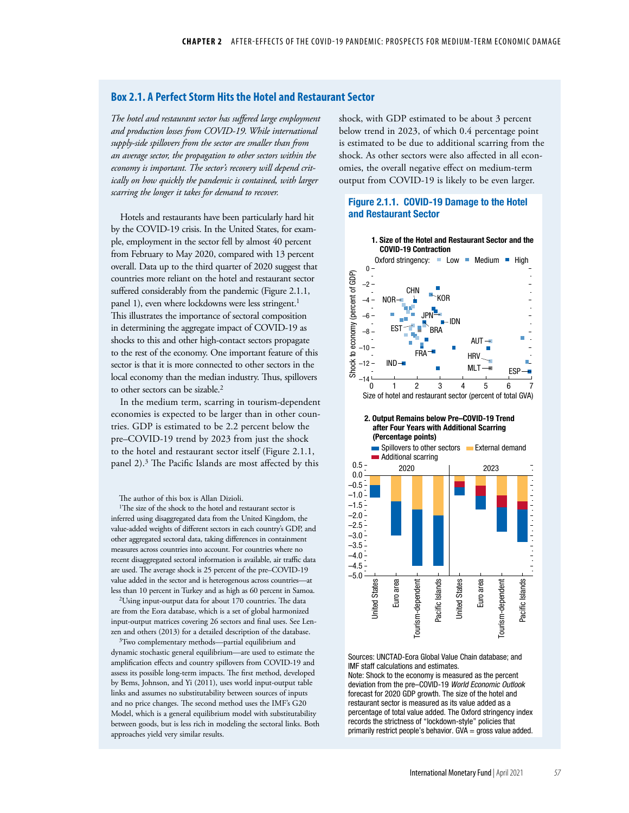### **Box 2.1. A Perfect Storm Hits the Hotel and Restaurant Sector**

*The hotel and restaurant sector has suffered large employment and production losses from COVID-19. While international supply-side spillovers from the sector are smaller than from an average sector, the propagation to other sectors within the economy is important. The sector's recovery will depend critically on how quickly the pandemic is contained, with larger scarring the longer it takes for demand to recover.*

Hotels and restaurants have been particularly hard hit by the COVID-19 crisis. In the United States, for example, employment in the sector fell by almost 40 percent from February to May 2020, compared with 13 percent overall. Data up to the third quarter of 2020 suggest that countries more reliant on the hotel and restaurant sector suffered considerably from the pandemic (Figure 2.1.1, panel 1), even where lockdowns were less stringent.<sup>1</sup> This illustrates the importance of sectoral composition in determining the aggregate impact of COVID-19 as shocks to this and other high-contact sectors propagate to the rest of the economy. One important feature of this sector is that it is more connected to other sectors in the local economy than the median industry. Thus, spillovers to other sectors can be sizable.<sup>2</sup>

In the medium term, scarring in tourism-dependent economies is expected to be larger than in other countries. GDP is estimated to be 2.2 percent below the pre–COVID-19 trend by 2023 from just the shock to the hotel and restaurant sector itself (Figure 2.1.1, panel 2).3 The Pacific Islands are most affected by this

The author of this box is Allan Dizioli.

<sup>1</sup>The size of the shock to the hotel and restaurant sector is inferred using disaggregated data from the United Kingdom, the value-added weights of different sectors in each country's GDP, and other aggregated sectoral data, taking differences in containment measures across countries into account. For countries where no recent disaggregated sectoral information is available, air traffic data are used. The average shock is 25 percent of the pre–COVID-19 value added in the sector and is heterogenous across countries—at less than 10 percent in Turkey and as high as 60 percent in Samoa.

 $^{2}$ Using input-output data for about 170 countries. The data are from the Eora database, which is a set of global harmonized input-output matrices covering 26 sectors and final uses. See Lenzen and others (2013) for a detailed description of the database.

3Two complementary methods—partial equilibrium and dynamic stochastic general equilibrium—are used to estimate the amplification effects and country spillovers from COVID-19 and assess its possible long-term impacts. The first method, developed by Bems, Johnson, and Yi (2011), uses world input-output table links and assumes no substitutability between sources of inputs and no price changes. The second method uses the IMF's G20 Model, which is a general equilibrium model with substitutability between goods, but is less rich in modeling the sectoral links. Both approaches yield very similar results.

shock, with GDP estimated to be about 3 percent below trend in 2023, of which 0.4 percentage point is estimated to be due to additional scarring from the shock. As other sectors were also affected in all economies, the overall negative effect on medium-term output from COVID-19 is likely to be even larger.

### Figure 2.1.1. COVID-19 Damage to the Hotel and Restaurant Sector



Sources: UNCTAD-Eora Global Value Chain database; and IMF staff calculations and estimates.

Note: Shock to the economy is measured as the percent deviation from the pre–COVID-19 *World Economic Outlook* forecast for 2020 GDP growth. The size of the hotel and restaurant sector is measured as its value added as a percentage of total value added. The Oxford stringency index records the strictness of "lockdown-style" policies that primarily restrict people's behavior. GVA = gross value added.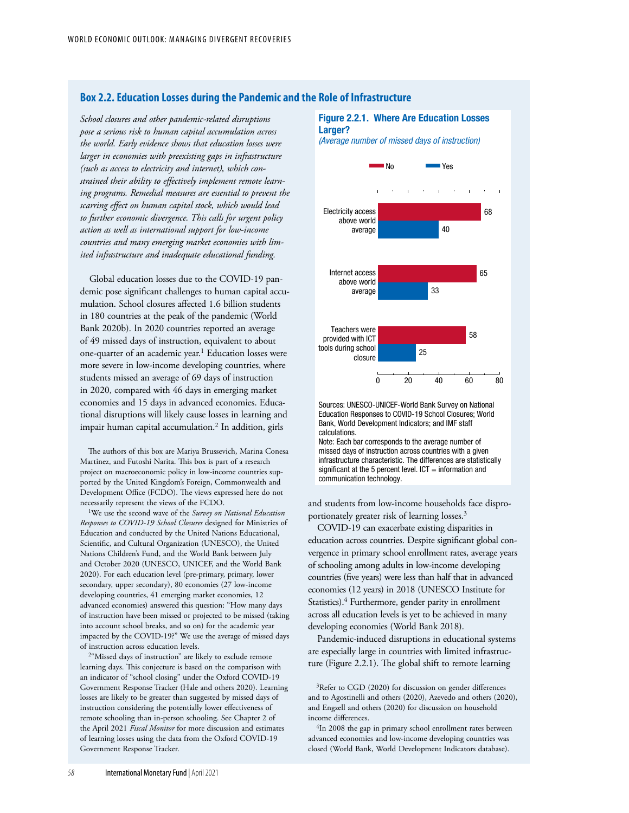### **Box 2.2. Education Losses during the Pandemic and the Role of Infrastructure**

*School closures and other pandemic-related disruptions pose a serious risk to human capital accumulation across the world. Early evidence shows that education losses were larger in economies with preexisting gaps in infrastructure (such as access to electricity and internet), which constrained their ability to effectively implement remote learning programs. Remedial measures are essential to prevent the scarring effect on human capital stock, which would lead to further economic divergence. This calls for urgent policy action as well as international support for low-income countries and many emerging market economies with limited infrastructure and inadequate educational funding.*

Global education losses due to the COVID-19 pandemic pose significant challenges to human capital accumulation. School closures affected 1.6 billion students in 180 countries at the peak of the pandemic (World Bank 2020b). In 2020 countries reported an average of 49 missed days of instruction, equivalent to about one-quarter of an academic year.<sup>1</sup> Education losses were more severe in low-income developing countries, where students missed an average of 69 days of instruction in 2020, compared with 46 days in emerging market economies and 15 days in advanced economies. Educational disruptions will likely cause losses in learning and impair human capital accumulation.2 In addition, girls

The authors of this box are Mariya Brussevich, Marina Conesa Martinez, and Futoshi Narita. This box is part of a research project on macroeconomic policy in low-income countries supported by the United Kingdom's Foreign, Commonwealth and Development Office (FCDO). The views expressed here do not necessarily represent the views of the FCDO.

1We use the second wave of the *Survey on National Education Responses to COVID-19 School Closures* designed for Ministries of Education and conducted by the United Nations Educational, Scientific, and Cultural Organization (UNESCO), the United Nations Children's Fund, and the World Bank between July and October 2020 (UNESCO, UNICEF, and the World Bank 2020). For each education level (pre-primary, primary, lower secondary, upper secondary), 80 economies (27 low-income developing countries, 41 emerging market economies, 12 advanced economies) answered this question: "How many days of instruction have been missed or projected to be missed (taking into account school breaks, and so on) for the academic year impacted by the COVID-19?" We use the average of missed days of instruction across education levels.

2"Missed days of instruction" are likely to exclude remote learning days. This conjecture is based on the comparison with an indicator of "school closing" under the Oxford COVID-19 Government Response Tracker (Hale and others 2020). Learning losses are likely to be greater than suggested by missed days of instruction considering the potentially lower effectiveness of remote schooling than in-person schooling. See Chapter 2 of the April 2021 *Fiscal Monitor* for more discussion and estimates of learning losses using the data from the Oxford COVID-19 Government Response Tracker.

### Figure 2.2.1. Where Are Education Losses Larger?

*(Average number of missed days of instruction)*



Sources: UNESCO-UNICEF-World Bank Survey on National Education Responses to COVID-19 School Closures; World Bank, World Development Indicators; and IMF staff calculations.

Note: Each bar corresponds to the average number of missed days of instruction across countries with a given infrastructure characteristic. The differences are statistically significant at the 5 percent level.  $ICT = information$  and communication technology.

and students from low-income households face disproportionately greater risk of learning losses.3

COVID-19 can exacerbate existing disparities in education across countries. Despite significant global convergence in primary school enrollment rates, average years of schooling among adults in low-income developing countries (five years) were less than half that in advanced economies (12 years) in 2018 (UNESCO Institute for Statistics).<sup>4</sup> Furthermore, gender parity in enrollment across all education levels is yet to be achieved in many developing economies (World Bank 2018).

Pandemic-induced disruptions in educational systems are especially large in countries with limited infrastructure (Figure 2.2.1). The global shift to remote learning

<sup>3</sup>Refer to CGD (2020) for discussion on gender differences and to Agostinelli and others (2020), Azevedo and others (2020), and Engzell and others (2020) for discussion on household income differences.

<sup>4</sup>In 2008 the gap in primary school enrollment rates between advanced economies and low-income developing countries was closed (World Bank, World Development Indicators database).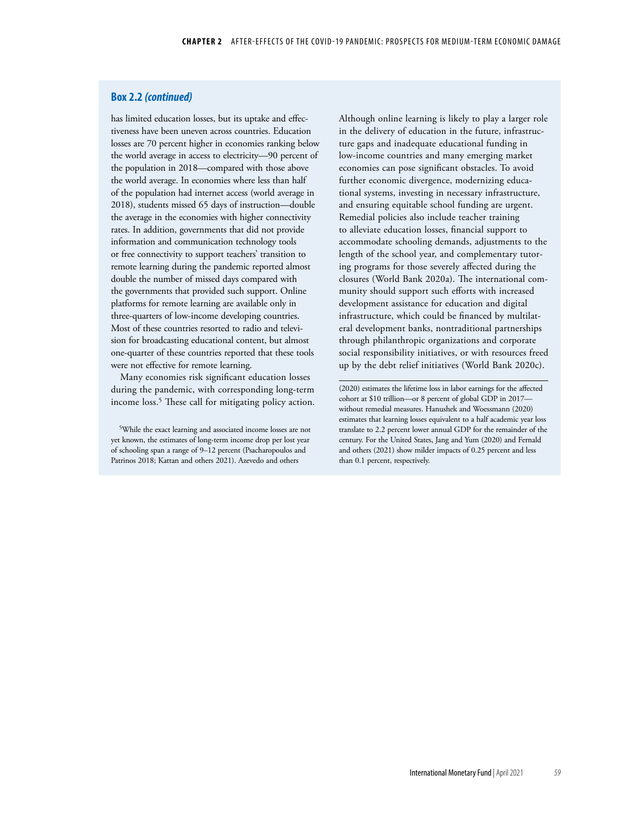### **Box 2.2** *(continued)*

has limited education losses, but its uptake and effectiveness have been uneven across countries. Education losses are 70 percent higher in economies ranking below the world average in access to electricity—90 percent of the population in 2018—compared with those above the world average. In economies where less than half of the population had internet access (world average in 2018), students missed 65 days of instruction—double the average in the economies with higher connectivity rates. In addition, governments that did not provide information and communication technology tools or free connectivity to support teachers' transition to remote learning during the pandemic reported almost double the number of missed days compared with the governments that provided such support. Online platforms for remote learning are available only in three-quarters of low-income developing countries. Most of these countries resorted to radio and television for broadcasting educational content, but almost one-quarter of these countries reported that these tools were not effective for remote learning.

Many economies risk significant education losses during the pandemic, with corresponding long-term income loss.<sup>5</sup> These call for mitigating policy action.

5While the exact learning and associated income losses are not yet known, the estimates of long-term income drop per lost year of schooling span a range of 9–12 percent (Psacharopoulos and Patrinos 2018; Kattan and others 2021). Azevedo and others

Although online learning is likely to play a larger role in the delivery of education in the future, infrastructure gaps and inadequate educational funding in low-income countries and many emerging market economies can pose significant obstacles. To avoid further economic divergence, modernizing educational systems, investing in necessary infrastructure, and ensuring equitable school funding are urgent. Remedial policies also include teacher training to alleviate education losses, financial support to accommodate schooling demands, adjustments to the length of the school year, and complementary tutoring programs for those severely affected during the closures (World Bank 2020a). The international community should support such efforts with increased development assistance for education and digital infrastructure, which could be financed by multilateral development banks, nontraditional partnerships through philanthropic organizations and corporate social responsibility initiatives, or with resources freed up by the debt relief initiatives (World Bank 2020c).

(2020) estimates the lifetime loss in labor earnings for the affected cohort at \$10 trillion—or 8 percent of global GDP in 2017 without remedial measures. Hanushek and Woessmann (2020) estimates that learning losses equivalent to a half academic year loss translate to 2.2 percent lower annual GDP for the remainder of the century. For the United States, Jang and Yum (2020) and Fernald and others (2021) show milder impacts of 0.25 percent and less than 0.1 percent, respectively.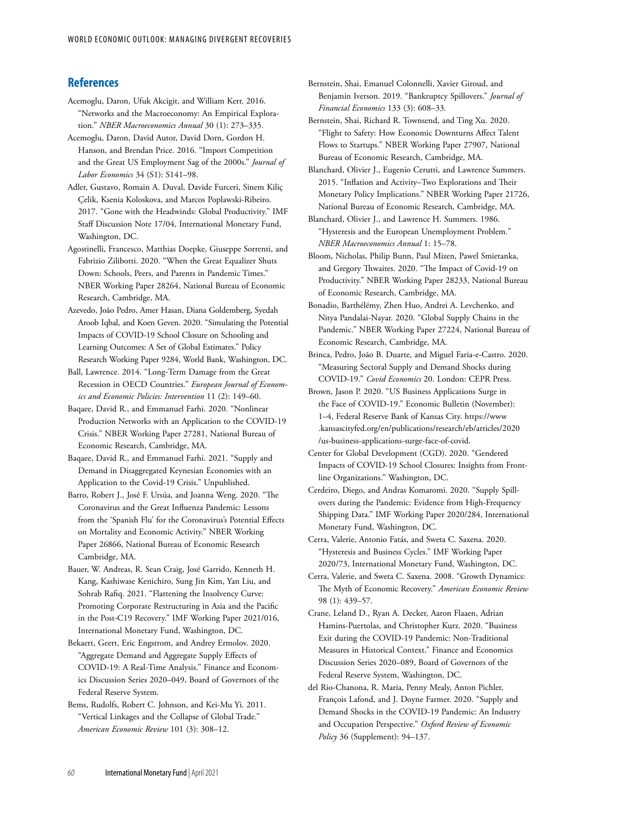### **References**

- Acemoglu, Daron, Ufuk Akcigit, and William Kerr. 2016. "Networks and the Macroeconomy: An Empirical Exploration." *NBER Macroeconomics Annual* 30 (1): 273–335.
- Acemoglu, Daron, David Autor, David Dorn, Gordon H. Hanson, and Brendan Price. 2016. "Import Competition and the Great US Employment Sag of the 2000s." *Journal of Labor Economics* 34 (S1): S141–98.
- Adler, Gustavo, Romain A. Duval, Davide Furceri, Sinem Kiliç Çelik, Ksenia Koloskova, and Marcos Poplawski-Ribeiro. 2017. "Gone with the Headwinds: Global Productivity." IMF Staff Discussion Note 17/04, International Monetary Fund, Washington, DC.
- Agostinelli, Francesco, Matthias Doepke, Giuseppe Sorrenti, and Fabrizio Zilibotti. 2020. "When the Great Equalizer Shuts Down: Schools, Peers, and Parents in Pandemic Times." NBER Working Paper 28264, National Bureau of Economic Research, Cambridge, MA.
- Azevedo, João Pedro, Amer Hasan, Diana Goldemberg, Syedah Aroob Iqbal, and Koen Geven. 2020. "Simulating the Potential Impacts of COVID-19 School Closure on Schooling and Learning Outcomes: A Set of Global Estimates." Policy Research Working Paper 9284, World Bank, Washington, DC.
- Ball, Lawrence. 2014. "Long-Term Damage from the Great Recession in OECD Countries." *European Journal of Economics and Economic Policies: Intervention* 11 (2): 149–60.
- Baqaee, David R., and Emmanuel Farhi. 2020. "Nonlinear Production Networks with an Application to the COVID-19 Crisis." NBER Working Paper 27281, National Bureau of Economic Research, Cambridge, MA.
- Baqaee, David R., and Emmanuel Farhi. 2021. "Supply and Demand in Disaggregated Keynesian Economies with an Application to the Covid-19 Crisis." Unpublished.
- Barro, Robert J., José F. Ursúa, and Joanna Weng. 2020. "The Coronavirus and the Great Influenza Pandemic: Lessons from the 'Spanish Flu' for the Coronavirus's Potential Effects on Mortality and Economic Activity." NBER Working Paper 26866, National Bureau of Economic Research Cambridge, MA.
- Bauer, W. Andreas, R. Sean Craig, José Garrido, Kenneth H. Kang, Kashiwase Kenichiro, Sung Jin Kim, Yan Liu, and Sohrab Rafiq. 2021. "Flattening the Insolvency Curve: Promoting Corporate Restructuring in Asia and the Pacific in the Post-C19 Recovery." IMF Working Paper 2021/016, International Monetary Fund, Washington, DC.
- Bekaert, Geert, Eric Engstrom, and Andrey Ermolov. 2020. "Aggregate Demand and Aggregate Supply Effects of COVID-19: A Real-Time Analysis." Finance and Economics Discussion Series 2020–049, Board of Governors of the Federal Reserve System.
- Bems, Rudolfs, Robert C. Johnson, and Kei-Mu Yi. 2011. "Vertical Linkages and the Collapse of Global Trade." *American Economic Review* 101 (3): 308–12.
- Bernstein, Shai, Emanuel Colonnelli, Xavier Giroud, and Benjamin Iverson. 2019. "Bankruptcy Spillovers." *Journal of Financial Economics* 133 (3): 608–33.
- Bernstein, Shai, Richard R. Townsend, and Ting Xu. 2020. "Flight to Safety: How Economic Downturns Affect Talent Flows to Startups." NBER Working Paper 27907, National Bureau of Economic Research, Cambridge, MA.
- Blanchard, Olivier J., Eugenio Cerutti, and Lawrence Summers. 2015. "Inflation and Activity–Two Explorations and Their Monetary Policy Implications." NBER Working Paper 21726, National Bureau of Economic Research, Cambridge, MA.
- Blanchard, Olivier J., and Lawrence H. Summers. 1986. "Hysteresis and the European Unemployment Problem*.*" *NBER Macroeconomics Annual* 1: 15–78.
- Bloom, Nicholas, Philip Bunn, Paul Mizen, Pawel Smietanka, and Gregory Thwaites. 2020. "The Impact of Covid-19 on Productivity." NBER Working Paper 28233, National Bureau of Economic Research, Cambridge, MA.
- Bonadio, Barthélémy, Zhen Huo, Andrei A. Levchenko, and Nitya Pandalai-Nayar. 2020. "Global Supply Chains in the Pandemic." NBER Working Paper 27224, National Bureau of Economic Research, Cambridge, MA.
- Brinca, Pedro, João B. Duarte, and Miguel Faria-e-Castro. 2020. "Measuring Sectoral Supply and Demand Shocks during COVID-19." *Covid Economics* 20. London: CEPR Press.
- Brown, Jason P. 2020. "US Business Applications Surge in the Face of COVID-19." Economic Bulletin (November): 1–4, Federal Reserve Bank of Kansas City. [https://www](https://www.kansascityfed.org/en/publications/research/eb/articles/2020/us-business-applications-surge-face-of-covid) [.kansascityfed.org/en/publications/research/eb/articles/2020](https://www.kansascityfed.org/en/publications/research/eb/articles/2020/us-business-applications-surge-face-of-covid) [/us-business-applications-surge-face-of-covid](https://www.kansascityfed.org/en/publications/research/eb/articles/2020/us-business-applications-surge-face-of-covid).
- Center for Global Development (CGD). 2020. "Gendered Impacts of COVID-19 School Closures: Insights from Frontline Organizations." Washington, DC.
- Cerdeiro, Diego, and Andras Komaromi. 2020. "Supply Spillovers during the Pandemic: Evidence from High-Frequency Shipping Data." IMF Working Paper 2020/284, International Monetary Fund, Washington, DC.
- Cerra, Valerie, Antonio Fatás, and Sweta C. Saxena. 2020. "Hysteresis and Business Cycles." IMF Working Paper 2020/73, International Monetary Fund, Washington, DC.
- Cerra, Valerie, and Sweta C. Saxena. 2008. "Growth Dynamics: The Myth of Economic Recovery." *American Economic Review* 98 (1): 439–57.
- Crane, Leland D., Ryan A. Decker, Aaron Flaaen, Adrian Hamins-Puertolas, and Christopher Kurz. 2020. "Business Exit during the COVID-19 Pandemic: Non-Traditional Measures in Historical Context." Finance and Economics Discussion Series 2020–089, Board of Governors of the Federal Reserve System, Washington, DC.
- del Rio-Chanona, R. Maria, Penny Mealy, Anton Pichler, François Lafond, and J. Doyne Farmer. 2020. "Supply and Demand Shocks in the COVID-19 Pandemic: An Industry and Occupation Perspective." *Oxford Review of Economic Policy* 36 (Supplement): 94–137.